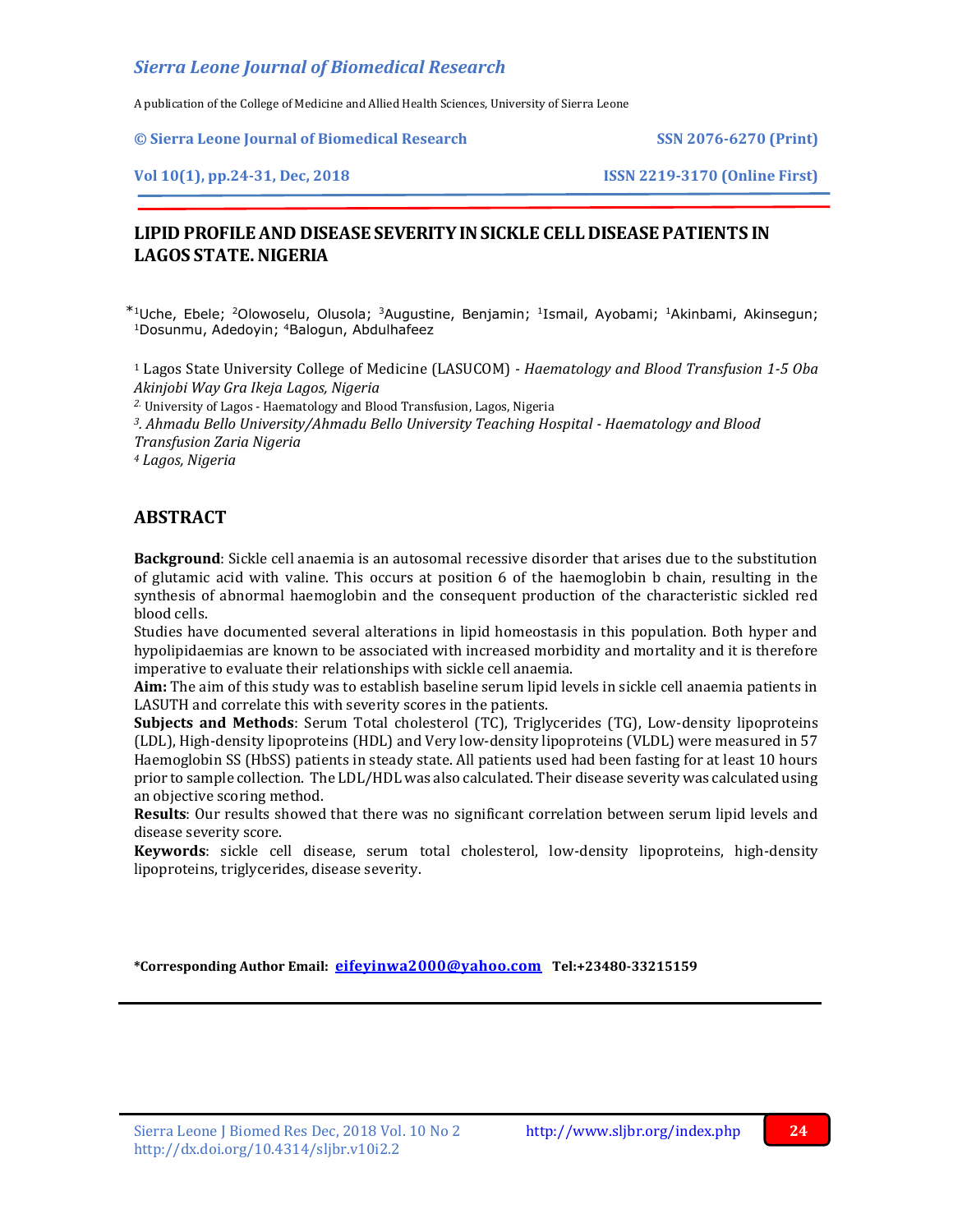A publication of the College of Medicine and Allied Health Sciences, University of Sierra Leone

**© Sierra Leone Journal of Biomedical Research SSN 2076-6270 (Print)**

**Vol 10(1), pp.24-31, Dec, 2018 ISSN 2219-3170 (Online First)**

# **LIPID PROFILE AND DISEASE SEVERITY IN SICKLE CELL DISEASE PATIENTS IN LAGOS STATE.NIGERIA**

<sup>1</sup>Uche, Ebele; <sup>2</sup>Olowoselu, Olusola; <sup>3</sup>Augustine, Benjamin; <sup>1</sup>Ismail, Ayobami; <sup>1</sup>Akinbami, Akinsegun; <sup>1</sup>Dosunmu, Adedoyin; <sup>4</sup>Balogun, Abdulhafeez

<sup>1</sup> Lagos State University College of Medicine (LASUCOM) *- Haematology and Blood Transfusion 1-5 Oba Akinjobi Way Gra Ikeja Lagos, Nigeria*

*2.* University of Lagos - Haematology and Blood Transfusion, Lagos, Nigeria

*<sup>3</sup>. Ahmadu Bello University/Ahmadu Bello University Teaching Hospital - Haematology and Blood Transfusion Zaria Nigeria*

*<sup>4</sup> Lagos, Nigeria*

# **ABSTRACT**

**Background**: Sickle cell anaemia is an autosomal recessive disorder that arises due to the substitution of glutamic acid with valine. This occurs at position 6 of the haemoglobin b chain, resulting in the synthesis of abnormal haemoglobin and the consequent production of the characteristic sickled red blood cells.

Studies have documented several alterations in lipid homeostasis in this population. Both hyper and hypolipidaemias are known to be associated with increased morbidity and mortality and it is therefore imperative to evaluate their relationships with sickle cell anaemia.

**Aim:** The aim of this study was to establish baseline serum lipid levels in sickle cell anaemia patients in LASUTH and correlate this with severity scores in the patients.

**Subjects and Methods**: Serum Total cholesterol (TC), Triglycerides (TG), Low-density lipoproteins (LDL), High-density lipoproteins (HDL) and Very low-density lipoproteins (VLDL) were measured in 57 Haemoglobin SS (HbSS) patients in steady state. All patients used had been fasting for at least 10 hours prior to sample collection. The LDL/HDL was also calculated. Their disease severity was calculated using an objective scoring method.

**Results**: Our results showed that there was no significant correlation between serum lipid levels and disease severity score.

**Keywords**: sickle cell disease, serum total cholesterol, low-density lipoproteins, high-density lipoproteins, triglycerides, disease severity.

j

**\*Corresponding Author Email: [eifeyinwa2000@yahoo.com](mailto:eifeyinwa2000@yahoo.com) Tel:+23480-33215159**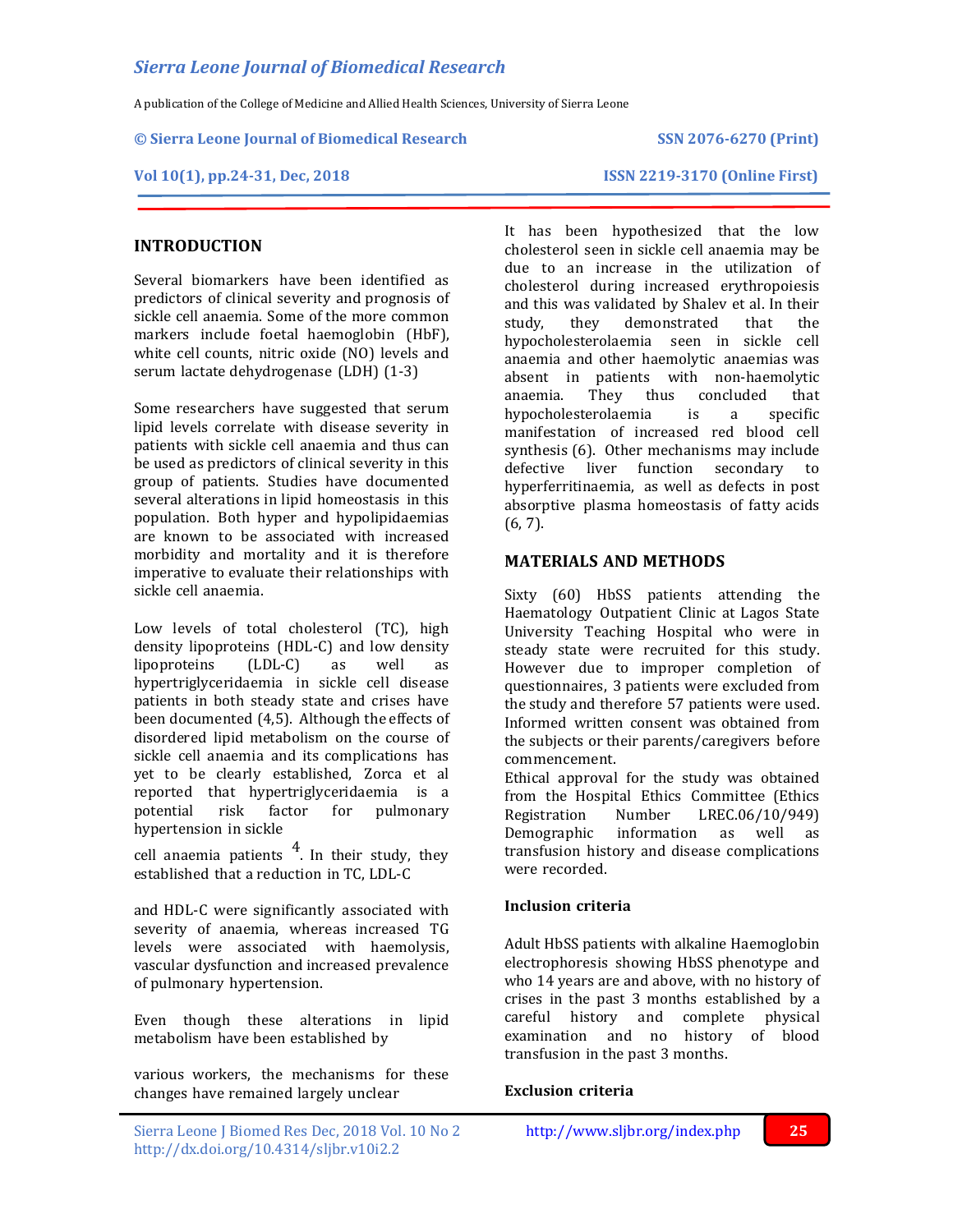A publication of the College of Medicine and Allied Health Sciences, University of Sierra Leone

### **© Sierra Leone Journal of Biomedical Research SSN 2076-6270 (Print)**

**Vol 10(1), pp.24-31, Dec, 2018 ISSN 2219-3170 (Online First)**

# **INTRODUCTION**

Several biomarkers have been identified as predictors of clinical severity and prognosis of sickle cell anaemia. Some of the more common markers include foetal haemoglobin (HbF), white cell counts, nitric oxide (NO) levels and serum lactate dehydrogenase (LDH) (1-3)

Some researchers have suggested that serum lipid levels correlate with disease severity in patients with sickle cell anaemia and thus can be used as predictors of clinical severity in this group of patients. Studies have documented several alterations in lipid homeostasis in this population. Both hyper and hypolipidaemias are known to be associated with increased morbidity and mortality and it is therefore imperative to evaluate their relationships with sickle cell anaemia.

Low levels of total cholesterol (TC), high density lipoproteins (HDL-C) and low density lipoproteins (LDL-C) as well as hypertriglyceridaemia in sickle cell disease patients in both steady state and crises have been documented (4,5). Although the effects of disordered lipid metabolism on the course of sickle cell anaemia and its complications has yet to be clearly established, Zorca et al reported that hypertriglyceridaemia is a potential risk factor for pulmonary hypertension in sickle

cell anaemia patients  $4$ . In their study, they established that a reduction in TC, LDL-C

and HDL-C were significantly associated with severity of anaemia, whereas increased TG levels were associated with haemolysis, vascular dysfunction and increased prevalence of pulmonary hypertension.

Even though these alterations in lipid metabolism have been established by

various workers, the mechanisms for these changes have remained largely unclear

It has been hypothesized that the low cholesterol seen in sickle cell anaemia may be due to an increase in the utilization of cholesterol during increased erythropoiesis and this was validated by Shalev et al. In their study, they demonstrated that the hypocholesterolaemia seen in sickle cell anaemia and other haemolytic anaemias was absent in patients with non-haemolytic anaemia. They thus concluded that hypocholesterolaemia is a specific manifestation of increased red blood cell synthesis (6). Other mechanisms may include defective liver function secondary to hyperferritinaemia, as well as defects in post absorptive plasma homeostasis of fatty acids (6, 7).

# **MATERIALS AND METHODS**

Sixty (60) HbSS patients attending the Haematology Outpatient Clinic at Lagos State University Teaching Hospital who were in steady state were recruited for this study. However due to improper completion of questionnaires, 3 patients were excluded from the study and therefore 57 patients were used. Informed written consent was obtained from the subjects or their parents/caregivers before commencement.

Ethical approval for the study was obtained from the Hospital Ethics Committee (Ethics Registration Number LREC.06/10/949) Demographic information as well as transfusion history and disease complications were recorded.

# **Inclusion criteria**

Adult HbSS patients with alkaline Haemoglobin electrophoresis showing HbSS phenotype and who 14 years are and above, with no history of crises in the past 3 months established by a careful history and complete physical examination and no history of blood transfusion in the past 3 months.

### **Exclusion criteria**

j

Sierra Leone J Biomed Res Dec, 2018 Vol. 10 No 2<http://www.sljbr.org/index.php>**25** http://dx.doi.org/10.4314/sljbr.v10i2.2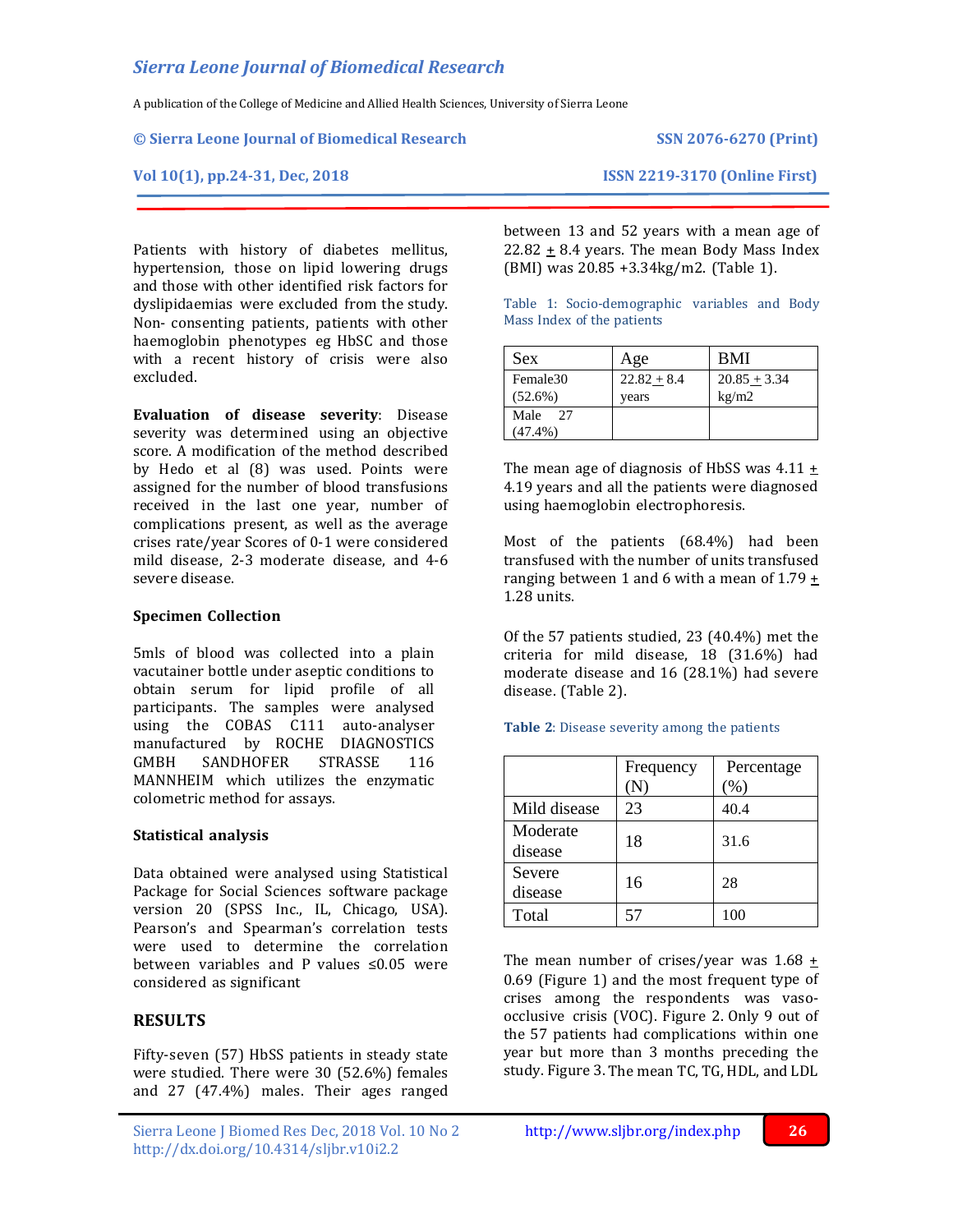A publication of the College of Medicine and Allied Health Sciences, University of Sierra Leone

### **© Sierra Leone Journal of Biomedical Research SSN 2076-6270 (Print)**

Patients with history of diabetes mellitus, hypertension, those on lipid lowering drugs and those with other identified risk factors for dyslipidaemias were excluded from the study. Non- consenting patients, patients with other haemoglobin phenotypes eg HbSC and those with a recent history of crisis were also excluded.

**Evaluation of disease severity**: Disease severity was determined using an objective score. A modification of the method described by Hedo et al (8) was used. Points were assigned for the number of blood transfusions received in the last one year, number of complications present, as well as the average crises rate/year Scores of 0-1 were considered mild disease, 2-3 moderate disease, and 4-6 severe disease.

## **Specimen Collection**

5mls of blood was collected into a plain vacutainer bottle under aseptic conditions to obtain serum for lipid profile of all participants. The samples were analysed using the COBAS C111 auto-analyser manufactured by ROCHE DIAGNOSTICS GMBH SANDHOFER STRASSE 116 MANNHEIM which utilizes the enzymatic colometric method for assays.

# **Statistical analysis**

Data obtained were analysed using Statistical Package for Social Sciences software package version 20 (SPSS Inc., IL, Chicago, USA). Pearson's and Spearman's correlation tests were used to determine the correlation between variables and P values ≤0.05 were considered as significant

# **RESULTS**

Fifty-seven (57) HbSS patients in steady state were studied. There were 30 (52.6%) females and 27 (47.4%) males. Their ages ranged

Sierra Leone J Biomed Res Dec, 2018 Vol. 10 No 2<http://www.sljbr.org/index.php>**26** http://dx.doi.org/10.4314/sljbr.v10i2.2

**Vol 10(1), pp.24-31, Dec, 2018 ISSN 2219-3170 (Online First)**

between 13 and 52 years with a mean age of 22.82  $\pm$  8.4 years. The mean Body Mass Index (BMI) was 20.85 +3.34kg/m2. (Table 1).

Table 1: Socio-demographic variables and Body Mass Index of the patients

| <b>Sex</b> | Age           | <b>BMI</b>     |
|------------|---------------|----------------|
| Female30   | $22.82 + 8.4$ | $20.85 + 3.34$ |
| $(52.6\%)$ | vears         | kg/m2          |
| Male<br>27 |               |                |
| $(47.4\%)$ |               |                |

The mean age of diagnosis of HbSS was  $4.11 +$ 4.19 years and all the patients were diagnosed using haemoglobin electrophoresis.

Most of the patients (68.4%) had been transfused with the number of units transfused ranging between 1 and 6 with a mean of 1.79 + 1.28 units.

Of the 57 patients studied, 23 (40.4%) met the criteria for mild disease, 18 (31.6%) had moderate disease and 16 (28.1%) had severe disease. (Table 2).

|  |  |  |  |  |  | <b>Table 2:</b> Disease severity among the patients |
|--|--|--|--|--|--|-----------------------------------------------------|
|--|--|--|--|--|--|-----------------------------------------------------|

|                     | Frequency<br>$({\rm N})$ | Percentage<br>(%) |
|---------------------|--------------------------|-------------------|
| Mild disease        | 23                       | 40.4              |
| Moderate<br>disease | 18                       | 31.6              |
| Severe<br>disease   | 16                       | 28                |
| Total               | 57                       | 100               |

The mean number of crises/year was  $1.68 \pm$ 0.69 (Figure 1) and the most frequent type of crises among the respondents was vasoocclusive crisis (VOC). Figure 2. Only 9 out of the 57 patients had complications within one year but more than 3 months preceding the study. Figure 3. The mean TC, TG, HDL, and LDL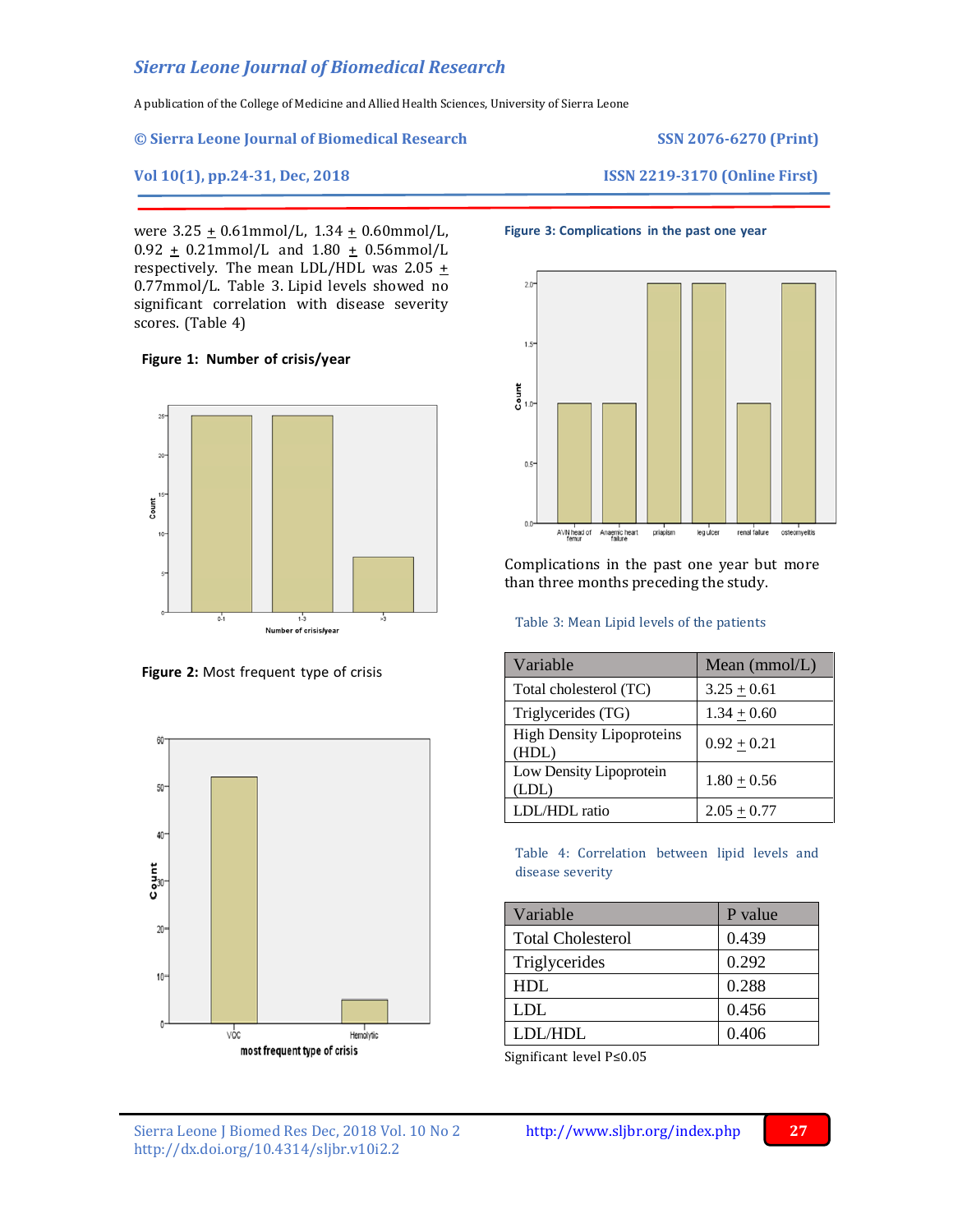A publication of the College of Medicine and Allied Health Sciences, University of Sierra Leone

### **© Sierra Leone Journal of Biomedical Research SSN 2076-6270 (Print)**

**Vol 10(1), pp.24-31, Dec, 2018 ISSN 2219-3170 (Online First)**

were  $3.25 \pm 0.61$ mmol/L,  $1.34 \pm 0.60$ mmol/L,  $0.92 \pm 0.21$ mmol/L and  $1.80 \pm 0.56$ mmol/L respectively. The mean LDL/HDL was  $2.05 +$ 0.77mmol/L. Table 3. Lipid levels showed no significant correlation with disease severity scores. (Table 4)

## **Figure 1: Number of crisis/year**







## **Figure 3: Complications in the past one year**



Complications in the past one year but more than three months preceding the study.

### Table 3: Mean Lipid levels of the patients

| Variable                                  | Mean $(mmol/L)$ |
|-------------------------------------------|-----------------|
| Total cholesterol (TC)                    | $3.25 + 0.61$   |
| Triglycerides (TG)                        | $1.34 \pm 0.60$ |
| <b>High Density Lipoproteins</b><br>(HDL) | $0.92 \pm 0.21$ |
| Low Density Lipoprotein<br>(LDL)          | $1.80 + 0.56$   |
| LDL/HDL ratio                             | $2.05 + 0.77$   |

Table 4: Correlation between lipid levels and disease severity

| Variable                 | P value |
|--------------------------|---------|
| <b>Total Cholesterol</b> | 0.439   |
| Triglycerides            | 0.292   |
| HDL                      | 0.288   |
| LDL.                     | 0.456   |
| LDL/HDL                  | 0.406   |

Significant level P≤0.05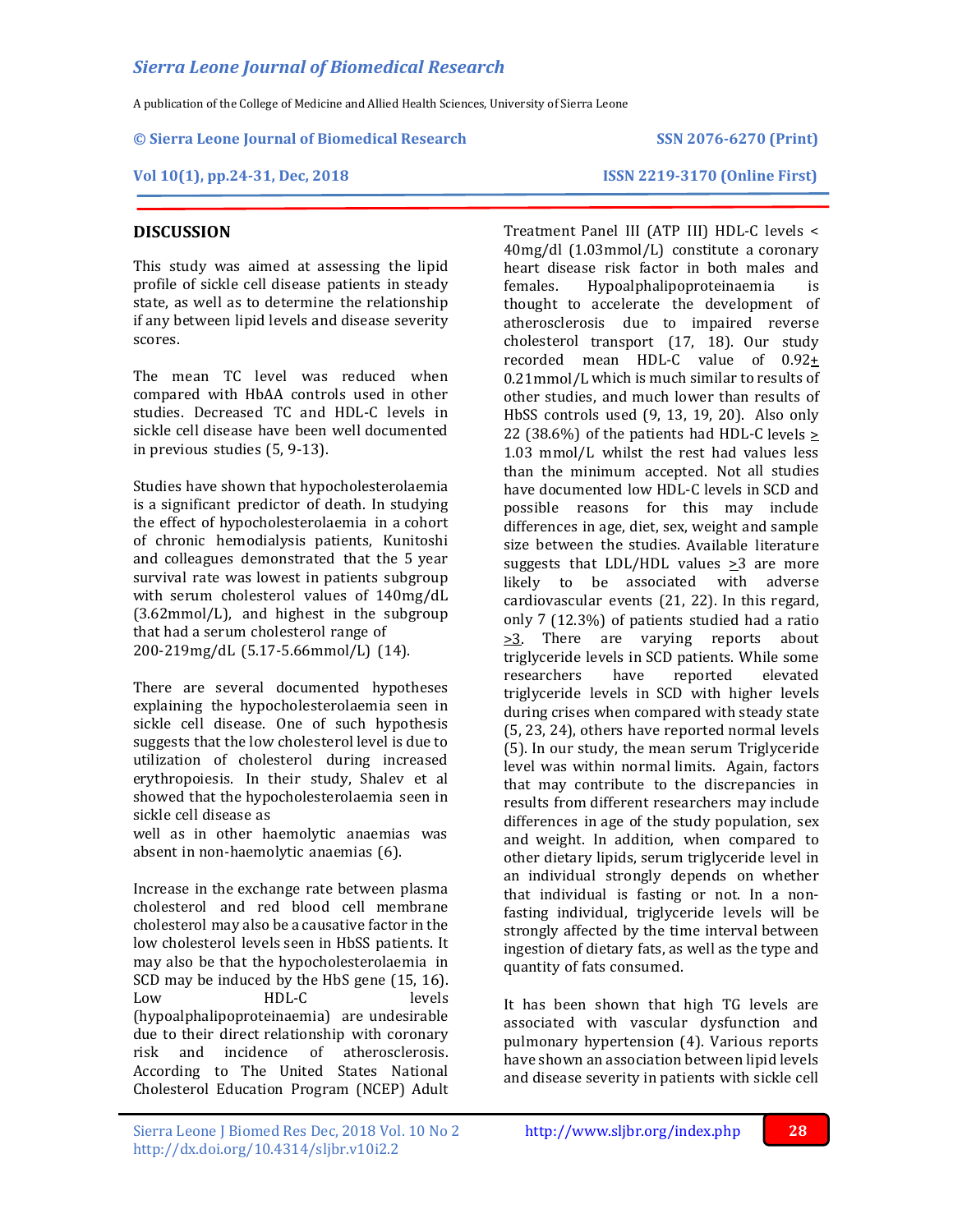A publication of the College of Medicine and Allied Health Sciences, University of Sierra Leone

### **© Sierra Leone Journal of Biomedical Research SSN 2076-6270 (Print)**

**DISCUSSION**

## **Vol 10(1), pp.24-31, Dec, 2018 ISSN 2219-3170 (Online First)**

This study was aimed at assessing the lipid profile of sickle cell disease patients in steady state, as well as to determine the relationship if any between lipid levels and disease severity scores.

The mean TC level was reduced when compared with HbAA controls used in other studies. Decreased TC and HDL-C levels in sickle cell disease have been well documented in previous studies (5, 9-13).

Studies have shown that hypocholesterolaemia is a significant predictor of death. In studying the effect of hypocholesterolaemia in a cohort of chronic hemodialysis patients, Kunitoshi and colleagues demonstrated that the 5 year survival rate was lowest in patients subgroup with serum cholesterol values of 140mg/dL (3.62mmol/L), and highest in the subgroup that had a serum cholesterol range of 200-219mg/dL (5.17-5.66mmol/L) (14).

There are several documented hypotheses explaining the hypocholesterolaemia seen in sickle cell disease. One of such hypothesis suggests that the low cholesterol level is due to utilization of cholesterol during increased erythropoiesis. In their study, Shalev et al showed that the hypocholesterolaemia seen in sickle cell disease as

well as in other haemolytic anaemias was absent in non-haemolytic anaemias (6).

Increase in the exchange rate between plasma cholesterol and red blood cell membrane cholesterol may also be a causative factor in the low cholesterol levels seen in HbSS patients. It may also be that the hypocholesterolaemia in SCD may be induced by the HbS gene (15, 16). Low HDL-C levels (hypoalphalipoproteinaemia) are undesirable due to their direct relationship with coronary risk and incidence of atherosclerosis. According to The United States National Cholesterol Education Program (NCEP) Adult

Treatment Panel III (ATP III) HDL-C levels < 40mg/dl (1.03mmol/L) constitute a coronary heart disease risk factor in both males and females. Hypoalphalipoproteinaemia is thought to accelerate the development of atherosclerosis due to impaired reverse cholesterol transport (17, 18). Our study recorded mean HDL-C value of  $0.92 +$ 0.21mmol/L which is much similar to results of other studies, and much lower than results of HbSS controls used (9, 13, 19, 20). Also only 22 (38.6%) of the patients had HDL-C levels > 1.03 mmol/L whilst the rest had values less than the minimum accepted. Not all studies have documented low HDL-C levels in SCD and possible reasons for this may include differences in age, diet, sex, weight and sample size between the studies. Available literature suggests that LDL/HDL values  $\geq 3$  are more likely to be associated with adverse cardiovascular events (21, 22). In this regard, only 7 (12.3%) of patients studied had a ratio >3. There are varying reports about triglyceride levels in SCD patients. While some researchers have reported elevated triglyceride levels in SCD with higher levels during crises when compared with steady state (5, 23, 24), others have reported normal levels (5). In our study, the mean serum Triglyceride level was within normal limits. Again, factors that may contribute to the discrepancies in results from different researchers may include differences in age of the study population, sex and weight. In addition, when compared to other dietary lipids, serum triglyceride level in an individual strongly depends on whether that individual is fasting or not. In a nonfasting individual, triglyceride levels will be strongly affected by the time interval between ingestion of dietary fats, as well as the type and quantity of fats consumed.

It has been shown that high TG levels are associated with vascular dysfunction and pulmonary hypertension (4). Various reports have shown an association between lipid levels and disease severity in patients with sickle cell

Sierra Leone J Biomed Res Dec, 2018 Vol. 10 No 2<http://www.sljbr.org/index.php>**28** http://dx.doi.org/10.4314/sljbr.v10i2.2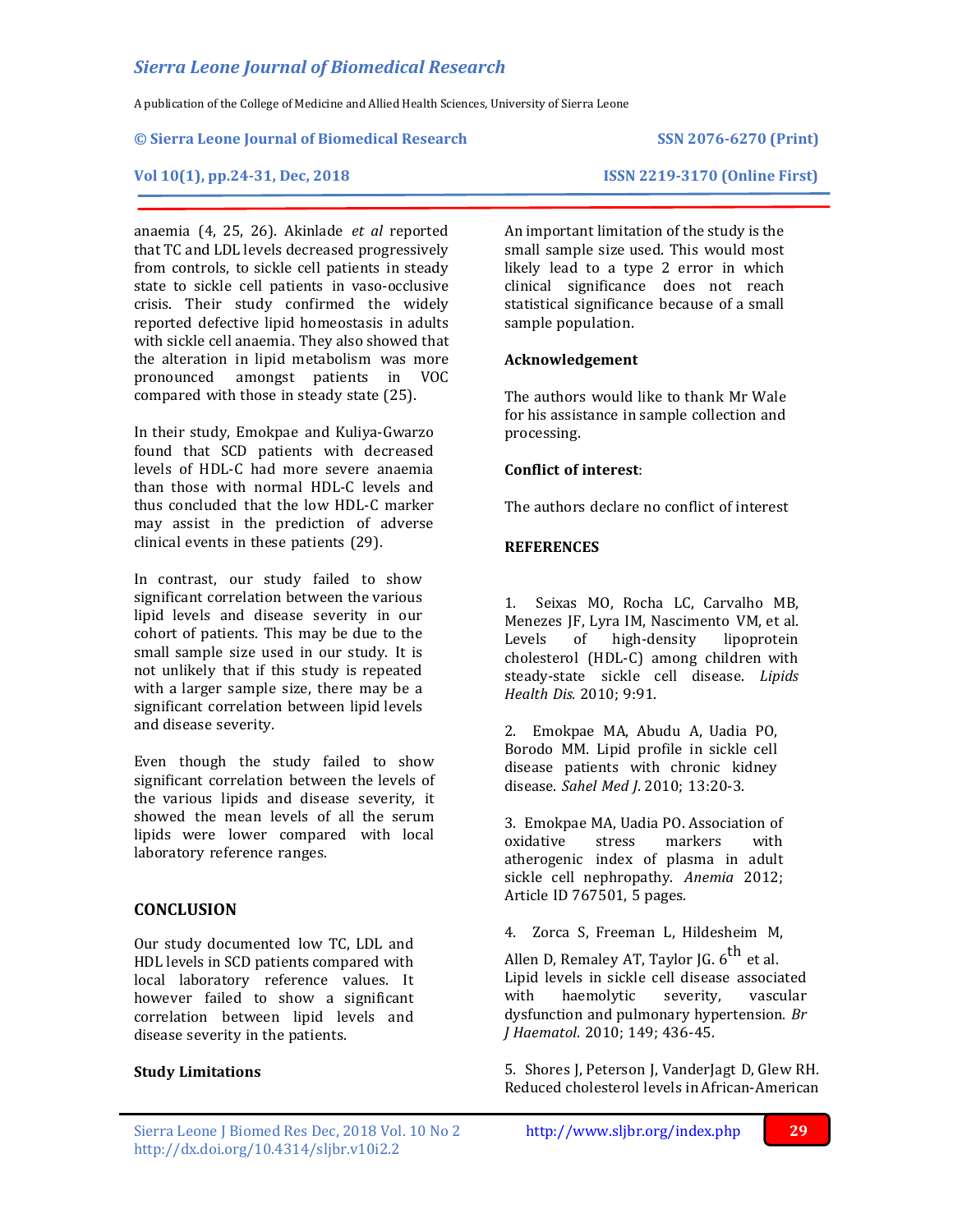A publication of the College of Medicine and Allied Health Sciences, University of Sierra Leone

### **© Sierra Leone Journal of Biomedical Research SSN 2076-6270 (Print)**

# **Vol 10(1), pp.24-31, Dec, 2018 ISSN 2219-3170 (Online First)**

anaemia (4, 25, 26). Akinlade *et al* reported that TC and LDL levels decreased progressively from controls, to sickle cell patients in steady state to sickle cell patients in vaso-occlusive crisis. Their study confirmed the widely reported defective lipid homeostasis in adults with sickle cell anaemia. They also showed that the alteration in lipid metabolism was more pronounced amongst patients in VOC compared with those in steady state (25).

In their study, Emokpae and Kuliya-Gwarzo found that SCD patients with decreased levels of HDL-C had more severe anaemia than those with normal HDL-C levels and thus concluded that the low HDL-C marker may assist in the prediction of adverse clinical events in these patients (29).

In contrast, our study failed to show significant correlation between the various lipid levels and disease severity in our cohort of patients. This may be due to the small sample size used in our study. It is not unlikely that if this study is repeated with a larger sample size, there may be a significant correlation between lipid levels and disease severity.

Even though the study failed to show significant correlation between the levels of the various lipids and disease severity, it showed the mean levels of all the serum lipids were lower compared with local laboratory reference ranges.

# **CONCLUSION**

Our study documented low TC, LDL and HDL levels in SCD patients compared with local laboratory reference values. It however failed to show a significant correlation between lipid levels and disease severity in the patients.

### **Study Limitations**

An important limitation of the study is the small sample size used. This would most likely lead to a type 2 error in which clinical significance does not reach statistical significance because of a small sample population.

## **Acknowledgement**

The authors would like to thank Mr Wale for his assistance in sample collection and processing.

# **Conflict of interest**:

The authors declare no conflict of interest

## **REFERENCES**

1. Seixas MO, Rocha LC, Carvalho MB, Menezes JF, Lyra IM, Nascimento VM, et al. Levels of high-density lipoprotein cholesterol (HDL-C) among children with steady-state sickle cell disease. *Lipids Health Dis.* 2010; 9:91.

2. Emokpae MA, Abudu A, Uadia PO, Borodo MM. Lipid profile in sickle cell disease patients with chronic kidney disease. *Sahel Med J*. 2010; 13:20-3.

3. Emokpae MA, Uadia PO. Association of oxidative stress markers with atherogenic index of plasma in adult sickle cell nephropathy. *Anemia* 2012; Article ID 767501, 5 pages.

4. Zorca S, Freeman L, Hildesheim M,

Allen D, Remaley AT, Taylor JG. 6<sup>th</sup> et al. Lipid levels in sickle cell disease associated with haemolytic severity, vascular dysfunction and pulmonary hypertension. *Br J Haematol*. 2010; 149; 436-45.

5. Shores J, Peterson J, VanderJagt D, Glew RH. Reduced cholesterol levels in African-American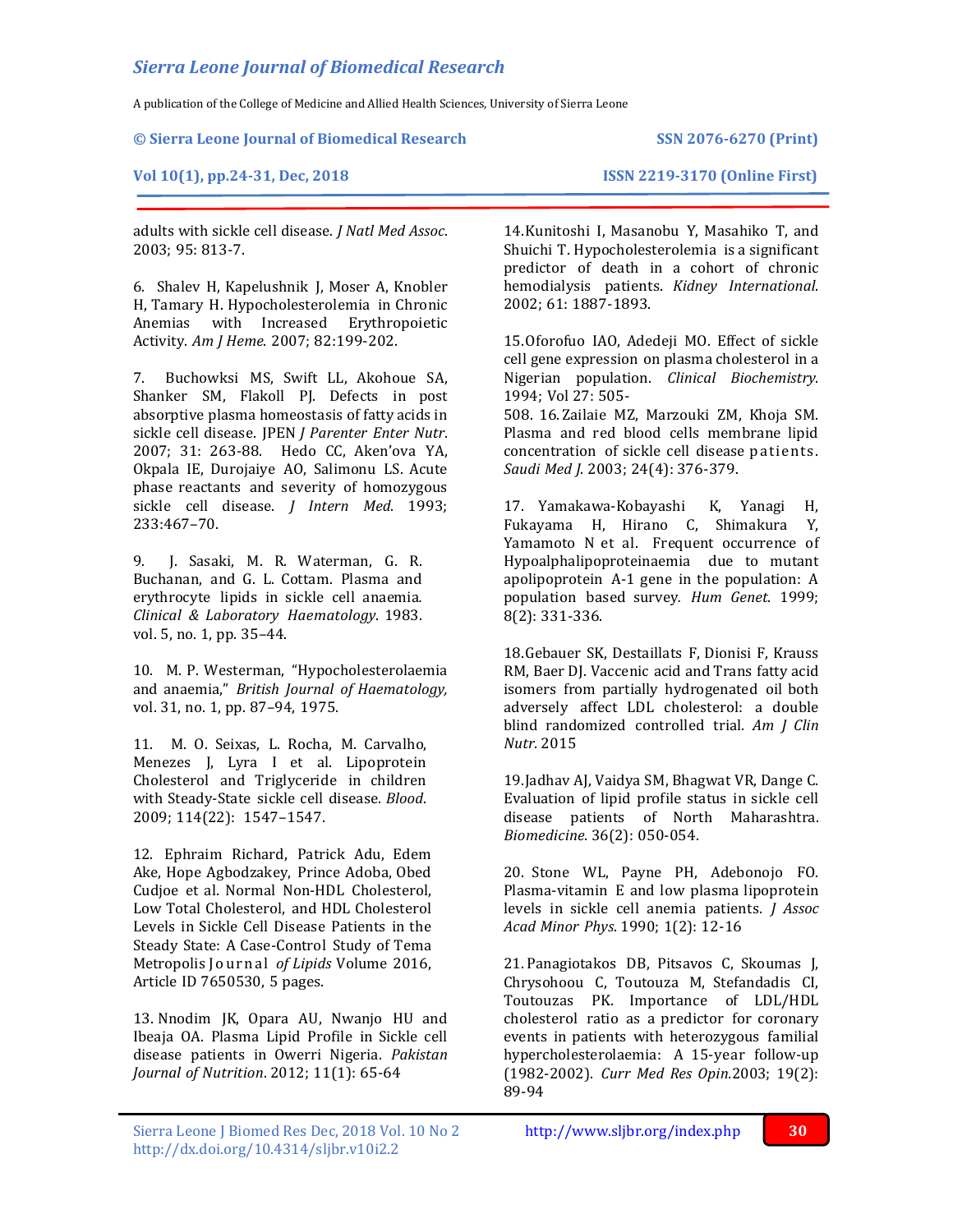A publication of the College of Medicine and Allied Health Sciences, University of Sierra Leone

**© Sierra Leone Journal of Biomedical Research SSN 2076-6270 (Print)**

## **Vol 10(1), pp.24-31, Dec, 2018 ISSN 2219-3170 (Online First)**

adults with sickle cell disease. *J Natl Med Assoc*. 2003; 95: 813-7.

6. Shalev H, Kapelushnik J, Moser A, Knobler H, Tamary H. Hypocholesterolemia in Chronic Anemias with Increased Erythropoietic Activity. *Am J Heme*. 2007; 82:199-202.

7. Buchowksi MS, Swift LL, Akohoue SA, Shanker SM, Flakoll PJ. Defects in post absorptive plasma homeostasis of fatty acids in sickle cell disease. JPEN *J Parenter Enter Nutr*. 2007; 31: 263-88. Hedo CC, Aken'ova YA, Okpala IE, Durojaiye AO, Salimonu LS. Acute phase reactants and severity of homozygous sickle cell disease. *J Intern Med*. 1993; 233:467–70.

9. J. Sasaki, M. R. Waterman, G. R. Buchanan, and G. L. Cottam. Plasma and erythrocyte lipids in sickle cell anaemia*. Clinical & Laboratory Haematology*. 1983. vol. 5, no. 1, pp. 35–44.

10. M. P. Westerman, "Hypocholesterolaemia and anaemia," *British Journal of Haematology,* vol. 31, no. 1, pp. 87–94, 1975.

11. M. O. Seixas, L. Rocha, M. Carvalho, Menezes J, Lyra I et al. Lipoprotein Cholesterol and Triglyceride in children with Steady-State sickle cell disease. *Blood*. 2009; 114(22): 1547–1547.

12. Ephraim Richard, Patrick Adu, Edem Ake, Hope Agbodzakey, Prince Adoba, Obed Cudjoe et al. Normal Non-HDL Cholesterol, Low Total Cholesterol, and HDL Cholesterol Levels in Sickle Cell Disease Patients in the Steady State: A Case-Control Study of Tema Metropolis Journal of Lipids Volume 2016, Article ID 7650530, 5 pages.

13. Nnodim JK, Opara AU, Nwanjo HU and Ibeaja OA. Plasma Lipid Profile in Sickle cell disease patients in Owerri Nigeria. *Pakistan Journal of Nutrition*. 2012; 11(1): 65-64

14.Kunitoshi I, Masanobu Y, Masahiko T, and Shuichi T. Hypocholesterolemia is a significant predictor of death in a cohort of chronic hemodialysis patients. *Kidney International*. 2002; 61: 1887-1893.

15.Oforofuo IAO, Adedeji MO. Effect of sickle cell gene expression on plasma cholesterol in a Nigerian population. *Clinical Biochemistry*. 1994; Vol 27: 505-

508. 16. Zailaie MZ, Marzouki ZM, Khoja SM. Plasma and red blood cells membrane lipid concentration of sickle cell disease patients. *Saudi Med J*. 2003; 24(4): 376-379.

17. Yamakawa-Kobayashi K, Yanagi H, Fukayama H, Hirano C, Shimakura Y, Yamamoto N et al. Frequent occurrence of Hypoalphalipoproteinaemia due to mutant apolipoprotein A-1 gene in the population: A population based survey*. Hum Genet*. 1999; 8(2): 331-336.

18.Gebauer SK, Destaillats F, Dionisi F, Krauss RM, Baer DJ. Vaccenic acid and Trans fatty acid isomers from partially hydrogenated oil both adversely affect LDL cholesterol: a double blind randomized controlled trial. *Am J Clin Nutr*. 2015

19.Jadhav AJ, Vaidya SM, Bhagwat VR, Dange C. Evaluation of lipid profile status in sickle cell disease patients of North Maharashtra. *Biomedicine*. 36(2): 050-054.

20. Stone WL, Payne PH, Adebonojo FO. Plasma-vitamin E and low plasma lipoprotein levels in sickle cell anemia patients. *J Assoc Acad Minor Phys*. 1990; 1(2): 12-16

21. Panagiotakos DB, Pitsavos C, Skoumas J, Chrysohoou C, Toutouza M, Stefandadis CI, Toutouzas PK. Importance of LDL/HDL cholesterol ratio as a predictor for coronary events in patients with heterozygous familial hypercholesterolaemia: A 15-year follow-up (1982-2002). *Curr Med Res Opin.*2003; 19(2): 89-94